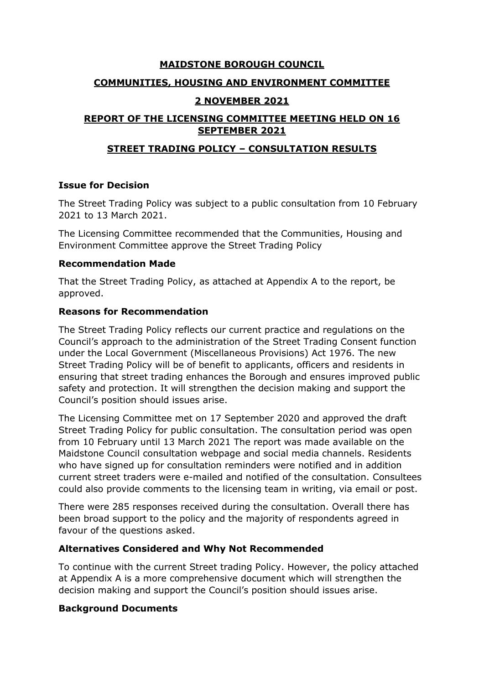## **MAIDSTONE BOROUGH COUNCIL**

### **COMMUNITIES, HOUSING AND ENVIRONMENT COMMITTEE**

#### **2 NOVEMBER 2021**

# **REPORT OF THE LICENSING COMMITTEE MEETING HELD ON 16 SEPTEMBER 2021**

# **STREET TRADING POLICY – CONSULTATION RESULTS**

## **Issue for Decision**

The Street Trading Policy was subject to a public consultation from 10 February 2021 to 13 March 2021.

The Licensing Committee recommended that the Communities, Housing and Environment Committee approve the Street Trading Policy

## **Recommendation Made**

That the Street Trading Policy, as attached at Appendix A to the report, be approved.

#### **Reasons for Recommendation**

The Street Trading Policy reflects our current practice and regulations on the Council's approach to the administration of the Street Trading Consent function under the Local Government (Miscellaneous Provisions) Act 1976. The new Street Trading Policy will be of benefit to applicants, officers and residents in ensuring that street trading enhances the Borough and ensures improved public safety and protection. It will strengthen the decision making and support the Council's position should issues arise.

The Licensing Committee met on 17 September 2020 and approved the draft Street Trading Policy for public consultation. The consultation period was open from 10 February until 13 March 2021 The report was made available on the Maidstone Council consultation webpage and social media channels. Residents who have signed up for consultation reminders were notified and in addition current street traders were e-mailed and notified of the consultation. Consultees could also provide comments to the licensing team in writing, via email or post.

There were 285 responses received during the consultation. Overall there has been broad support to the policy and the majority of respondents agreed in favour of the questions asked.

## **Alternatives Considered and Why Not Recommended**

To continue with the current Street trading Policy. However, the policy attached at Appendix A is a more comprehensive document which will strengthen the decision making and support the Council's position should issues arise.

#### **Background Documents**